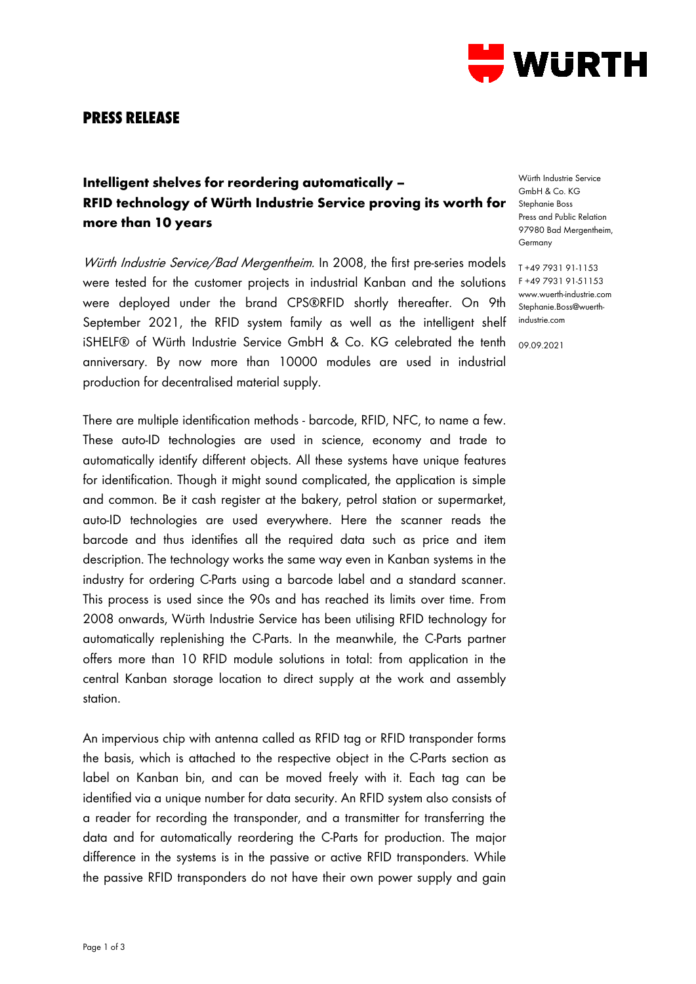

## **PRESS RELEASE**

## **Intelligent shelves for reordering automatically – RFID technology of Würth Industrie Service proving its worth for more than 10 years**

Würth Industrie Service/Bad Mergentheim. In 2008, the first pre-series models were tested for the customer projects in industrial Kanban and the solutions were deployed under the brand CPS®RFID shortly thereafter. On 9th September 2021, the RFID system family as well as the intelligent shelf iSHELF® of Würth Industrie Service GmbH & Co. KG celebrated the tenth anniversary. By now more than 10000 modules are used in industrial production for decentralised material supply.

There are multiple identification methods - barcode, RFID, NFC, to name a few. These auto-ID technologies are used in science, economy and trade to automatically identify different objects. All these systems have unique features for identification. Though it might sound complicated, the application is simple and common. Be it cash register at the bakery, petrol station or supermarket, auto-ID technologies are used everywhere. Here the scanner reads the barcode and thus identifies all the required data such as price and item description. The technology works the same way even in Kanban systems in the industry for ordering C-Parts using a barcode label and a standard scanner. This process is used since the 90s and has reached its limits over time. From 2008 onwards, Würth Industrie Service has been utilising RFID technology for automatically replenishing the C-Parts. In the meanwhile, the C-Parts partner offers more than 10 RFID module solutions in total: from application in the central Kanban storage location to direct supply at the work and assembly station.

An impervious chip with antenna called as RFID tag or RFID transponder forms the basis, which is attached to the respective object in the C-Parts section as label on Kanban bin, and can be moved freely with it. Each tag can be identified via a unique number for data security. An RFID system also consists of a reader for recording the transponder, and a transmitter for transferring the data and for automatically reordering the C-Parts for production. The major difference in the systems is in the passive or active RFID transponders. While the passive RFID transponders do not have their own power supply and gain

Würth Industrie Service GmbH & Co. KG Stephanie Boss Press and Public Relation 97980 Bad Mergentheim, Germany

T +49 7931 91-1153 F +49 7931 91-51153 www.wuerth-industrie.com Stephanie.Boss@wuerthindustrie.com

09.09.2021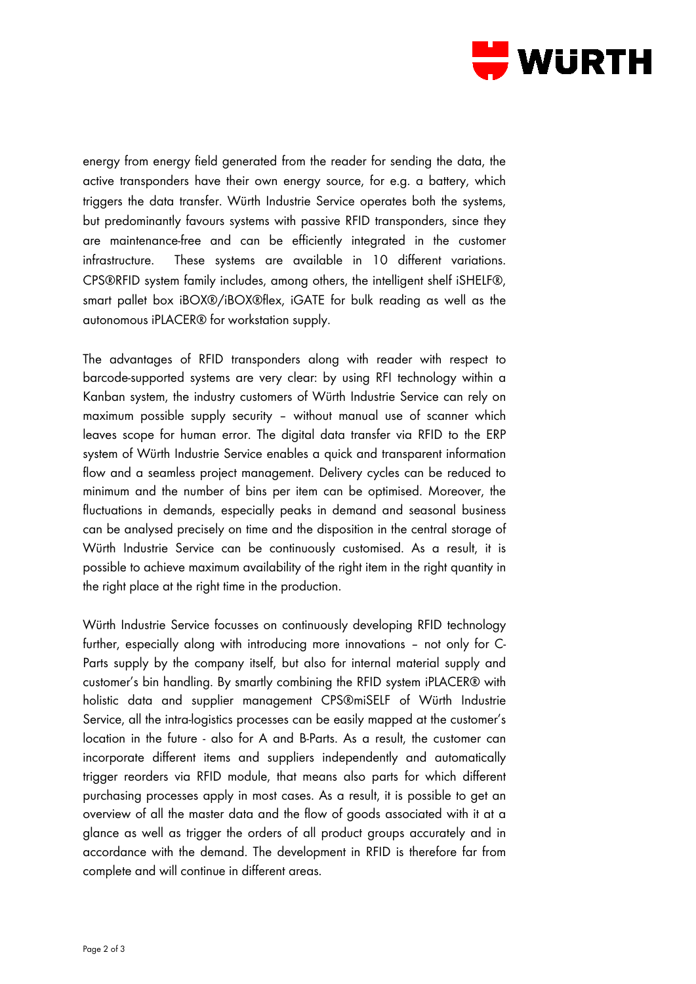

energy from energy field generated from the reader for sending the data, the active transponders have their own energy source, for e.g. a battery, which triggers the data transfer. Würth Industrie Service operates both the systems, but predominantly favours systems with passive RFID transponders, since they are maintenance-free and can be efficiently integrated in the customer infrastructure. These systems are available in 10 different variations. CPS®RFID system family includes, among others, the intelligent shelf iSHELF®, smart pallet box iBOX®/iBOX®flex, iGATE for bulk reading as well as the autonomous iPLACER® for workstation supply.

The advantages of RFID transponders along with reader with respect to barcode-supported systems are very clear: by using RFI technology within a Kanban system, the industry customers of Würth Industrie Service can rely on maximum possible supply security – without manual use of scanner which leaves scope for human error. The digital data transfer via RFID to the ERP system of Würth Industrie Service enables a quick and transparent information flow and a seamless project management. Delivery cycles can be reduced to minimum and the number of bins per item can be optimised. Moreover, the fluctuations in demands, especially peaks in demand and seasonal business can be analysed precisely on time and the disposition in the central storage of Würth Industrie Service can be continuously customised. As a result, it is possible to achieve maximum availability of the right item in the right quantity in the right place at the right time in the production.

Würth Industrie Service focusses on continuously developing RFID technology further, especially along with introducing more innovations – not only for C-Parts supply by the company itself, but also for internal material supply and customer's bin handling. By smartly combining the RFID system iPLACER® with holistic data and supplier management CPS®miSELF of Würth Industrie Service, all the intra-logistics processes can be easily mapped at the customer's location in the future - also for A and B-Parts. As a result, the customer can incorporate different items and suppliers independently and automatically trigger reorders via RFID module, that means also parts for which different purchasing processes apply in most cases. As a result, it is possible to get an overview of all the master data and the flow of goods associated with it at a glance as well as trigger the orders of all product groups accurately and in accordance with the demand. The development in RFID is therefore far from complete and will continue in different areas.